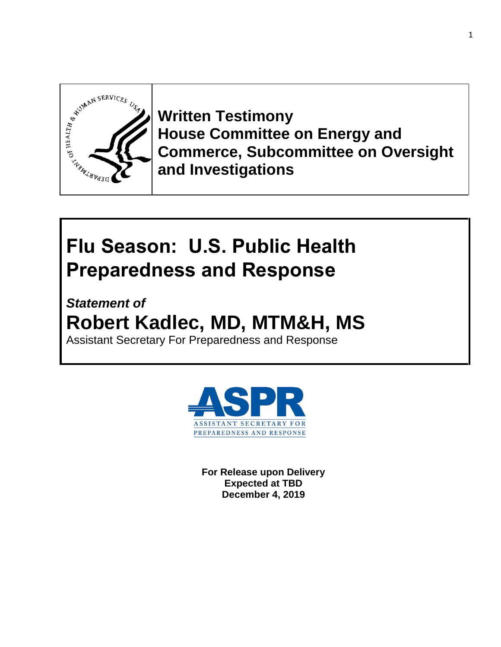

**Written Testimony House Committee on Energy and Commerce, Subcommittee on Oversight and Investigations**

# **Flu Season: U.S. Public Health Preparedness and Response**

*Statement of*  **Robert Kadlec, MD, MTM&H, MS**  Assistant Secretary For Preparedness and Response



**For Release upon Delivery Expected at TBD December 4, 2019**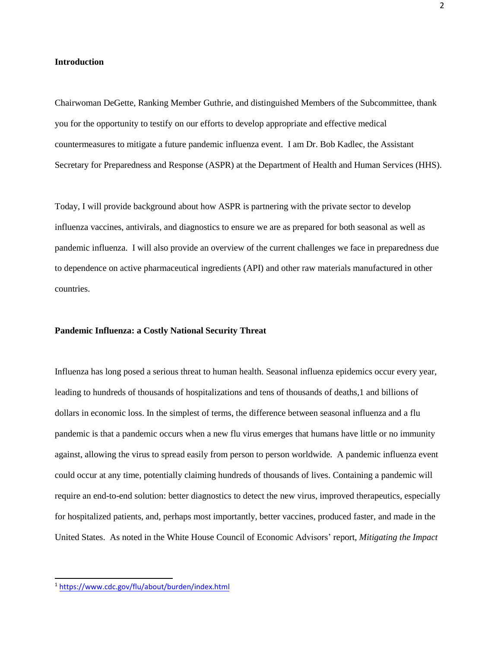## **Introduction**

Chairwoman DeGette, Ranking Member Guthrie, and distinguished Members of the Subcommittee, thank you for the opportunity to testify on our efforts to develop appropriate and effective medical countermeasures to mitigate a future pandemic influenza event. I am Dr. Bob Kadlec, the Assistant Secretary for Preparedness and Response (ASPR) at the Department of Health and Human Services (HHS).

Today, I will provide background about how ASPR is partnering with the private sector to develop influenza vaccines, antivirals, and diagnostics to ensure we are as prepared for both seasonal as well as pandemic influenza. I will also provide an overview of the current challenges we face in preparedness due to dependence on active pharmaceutical ingredients (API) and other raw materials manufactured in other countries.

## **Pandemic Influenza: a Costly National Security Threat**

Influenza has long posed a serious threat to human health. Seasonal influenza epidemics occur every year, leading to hundreds of thousands of hospitalizations and tens of thousands of deaths,1 and billions of dollars in economic loss. In the simplest of terms, the difference between seasonal influenza and a flu pandemic is that a pandemic occurs when a new flu virus emerges that humans have little or no immunity against, allowing the virus to spread easily from person to person worldwide. A pandemic influenza event could occur at any time, potentially claiming hundreds of thousands of lives. Containing a pandemic will require an end-to-end solution: better diagnostics to detect the new virus, improved therapeutics, especially for hospitalized patients, and, perhaps most importantly, better vaccines, produced faster, and made in the United States. As noted in the White House Council of Economic Advisors' report, *Mitigating the Impact* 

<sup>1</sup> <https://www.cdc.gov/flu/about/burden/index.html>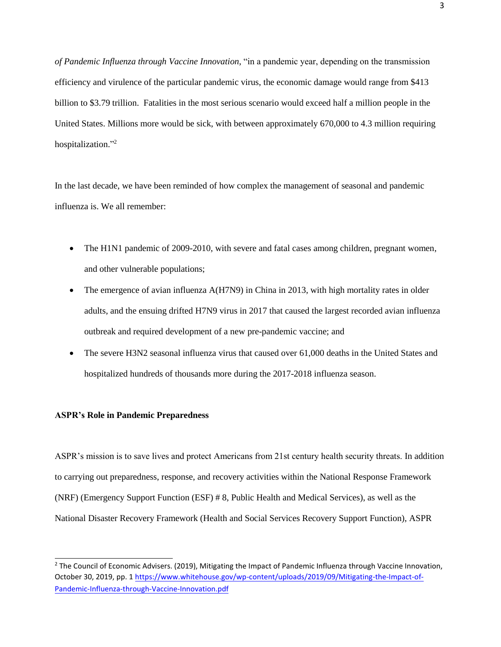*of Pandemic Influenza through Vaccine Innovation*, "in a pandemic year, depending on the transmission efficiency and virulence of the particular pandemic virus, the economic damage would range from \$413 billion to \$3.79 trillion. Fatalities in the most serious scenario would exceed half a million people in the United States. Millions more would be sick, with between approximately 670,000 to 4.3 million requiring hospitalization."<sup>2</sup>

In the last decade, we have been reminded of how complex the management of seasonal and pandemic influenza is. We all remember:

- The H1N1 pandemic of 2009-2010, with severe and fatal cases among children, pregnant women, and other vulnerable populations;
- The emergence of avian influenza A(H7N9) in China in 2013, with high mortality rates in older adults, and the ensuing drifted H7N9 virus in 2017 that caused the largest recorded avian influenza outbreak and required development of a new pre-pandemic vaccine; and
- The severe H3N2 seasonal influenza virus that caused over 61,000 deaths in the United States and hospitalized hundreds of thousands more during the 2017-2018 influenza season.

# **ASPR's Role in Pandemic Preparedness**

ASPR's mission is to save lives and protect Americans from 21st century health security threats. In addition to carrying out preparedness, response, and recovery activities within the National Response Framework (NRF) (Emergency Support Function (ESF) # 8, Public Health and Medical Services), as well as the National Disaster Recovery Framework (Health and Social Services Recovery Support Function), ASPR

<sup>&</sup>lt;sup>2</sup> The Council of Economic Advisers. (2019), Mitigating the Impact of Pandemic Influenza through Vaccine Innovation, October 30, 2019, pp. 1 [https://www.whitehouse.gov/wp-content/uploads/2019/09/Mitigating-the-Impact-of-](https://www.whitehouse.gov/wp-content/uploads/2019/09/Mitigating-the-Impact-of-Pandemic-Influenza-through-Vaccine-Innovation.pdf)[Pandemic-Influenza-through-Vaccine-Innovation.pdf](https://www.whitehouse.gov/wp-content/uploads/2019/09/Mitigating-the-Impact-of-Pandemic-Influenza-through-Vaccine-Innovation.pdf)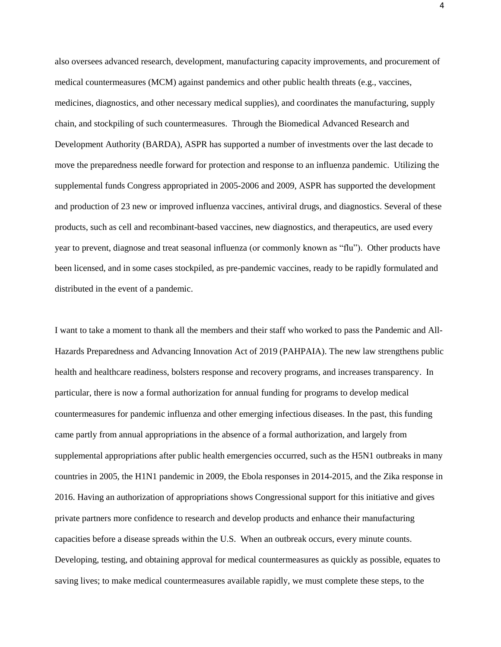also oversees advanced research, development, manufacturing capacity improvements, and procurement of medical countermeasures (MCM) against pandemics and other public health threats (e.g., vaccines, medicines, diagnostics, and other necessary medical supplies), and coordinates the manufacturing, supply chain, and stockpiling of such countermeasures. Through the Biomedical Advanced Research and Development Authority (BARDA), ASPR has supported a number of investments over the last decade to move the preparedness needle forward for protection and response to an influenza pandemic. Utilizing the supplemental funds Congress appropriated in 2005-2006 and 2009, ASPR has supported the development and production of 23 new or improved influenza vaccines, antiviral drugs, and diagnostics. Several of these products, such as cell and recombinant-based vaccines, new diagnostics, and therapeutics, are used every year to prevent, diagnose and treat seasonal influenza (or commonly known as "flu"). Other products have been licensed, and in some cases stockpiled, as pre-pandemic vaccines, ready to be rapidly formulated and distributed in the event of a pandemic.

I want to take a moment to thank all the members and their staff who worked to pass the Pandemic and All-Hazards Preparedness and Advancing Innovation Act of 2019 (PAHPAIA). The new law strengthens public health and healthcare readiness, bolsters response and recovery programs, and increases transparency. In particular, there is now a formal authorization for annual funding for programs to develop medical countermeasures for pandemic influenza and other emerging infectious diseases. In the past, this funding came partly from annual appropriations in the absence of a formal authorization, and largely from supplemental appropriations after public health emergencies occurred, such as the H5N1 outbreaks in many countries in 2005, the H1N1 pandemic in 2009, the Ebola responses in 2014-2015, and the Zika response in 2016. Having an authorization of appropriations shows Congressional support for this initiative and gives private partners more confidence to research and develop products and enhance their manufacturing capacities before a disease spreads within the U.S. When an outbreak occurs, every minute counts. Developing, testing, and obtaining approval for medical countermeasures as quickly as possible, equates to saving lives; to make medical countermeasures available rapidly, we must complete these steps, to the

4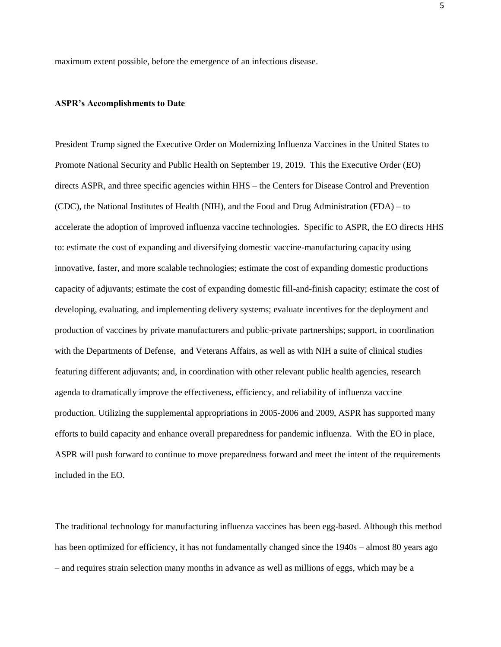maximum extent possible, before the emergence of an infectious disease.

#### **ASPR's Accomplishments to Date**

President Trump signed the Executive Order on Modernizing Influenza Vaccines in the United States to Promote National Security and Public Health on September 19, 2019. This the Executive Order (EO) directs ASPR, and three specific agencies within HHS – the Centers for Disease Control and Prevention (CDC), the National Institutes of Health (NIH), and the Food and Drug Administration (FDA) – to accelerate the adoption of improved influenza vaccine technologies. Specific to ASPR, the EO directs HHS to: estimate the cost of expanding and diversifying domestic vaccine-manufacturing capacity using innovative, faster, and more scalable technologies; estimate the cost of expanding domestic productions capacity of adjuvants; estimate the cost of expanding domestic fill-and-finish capacity; estimate the cost of developing, evaluating, and implementing delivery systems; evaluate incentives for the deployment and production of vaccines by private manufacturers and public-private partnerships; support, in coordination with the Departments of Defense, and Veterans Affairs, as well as with NIH a suite of clinical studies featuring different adjuvants; and, in coordination with other relevant public health agencies, research agenda to dramatically improve the effectiveness, efficiency, and reliability of influenza vaccine production. Utilizing the supplemental appropriations in 2005-2006 and 2009, ASPR has supported many efforts to build capacity and enhance overall preparedness for pandemic influenza. With the EO in place, ASPR will push forward to continue to move preparedness forward and meet the intent of the requirements included in the EO.

The traditional technology for manufacturing influenza vaccines has been egg-based. Although this method has been optimized for efficiency, it has not fundamentally changed since the  $1940s -$  almost 80 years ago – and requires strain selection many months in advance as well as millions of eggs, which may be a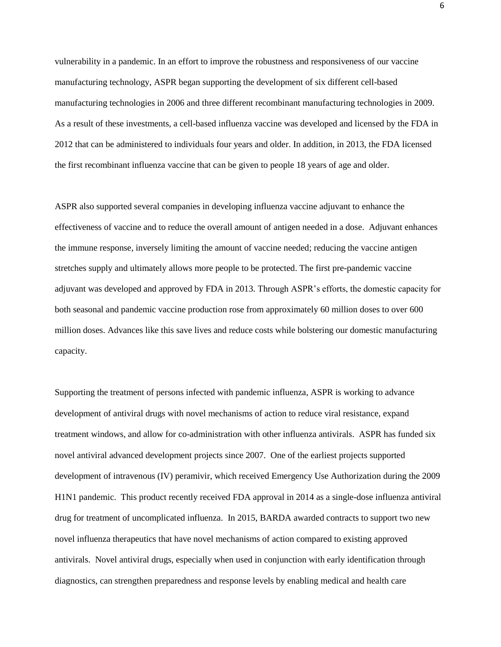vulnerability in a pandemic. In an effort to improve the robustness and responsiveness of our vaccine manufacturing technology, ASPR began supporting the development of six different cell-based manufacturing technologies in 2006 and three different recombinant manufacturing technologies in 2009. As a result of these investments, a cell-based influenza vaccine was developed and licensed by the FDA in 2012 that can be administered to individuals four years and older. In addition, in 2013, the FDA licensed the first recombinant influenza vaccine that can be given to people 18 years of age and older.

ASPR also supported several companies in developing influenza vaccine adjuvant to enhance the effectiveness of vaccine and to reduce the overall amount of antigen needed in a dose. Adjuvant enhances the immune response, inversely limiting the amount of vaccine needed; reducing the vaccine antigen stretches supply and ultimately allows more people to be protected. The first pre-pandemic vaccine adjuvant was developed and approved by FDA in 2013. Through ASPR's efforts, the domestic capacity for both seasonal and pandemic vaccine production rose from approximately 60 million doses to over 600 million doses. Advances like this save lives and reduce costs while bolstering our domestic manufacturing capacity.

Supporting the treatment of persons infected with pandemic influenza, ASPR is working to advance development of antiviral drugs with novel mechanisms of action to reduce viral resistance, expand treatment windows, and allow for co-administration with other influenza antivirals. ASPR has funded six novel antiviral advanced development projects since 2007. One of the earliest projects supported development of intravenous (IV) peramivir, which received Emergency Use Authorization during the 2009 H1N1 pandemic. This product recently received [FDA](https://www.medicalcountermeasures.gov/glossary.aspx#FDA) approval in 2014 as a single-dose influenza antiviral drug for treatment of uncomplicated influenza. In 2015, [BARDA](https://www.medicalcountermeasures.gov/glossary.aspx#BARDA) awarded contracts to support two new novel influenza therapeutics that have novel mechanisms of action compared to existing approved antivirals. Novel antiviral drugs, especially when used in conjunction with early identification through diagnostics, can strengthen preparedness and response levels by enabling medical and health care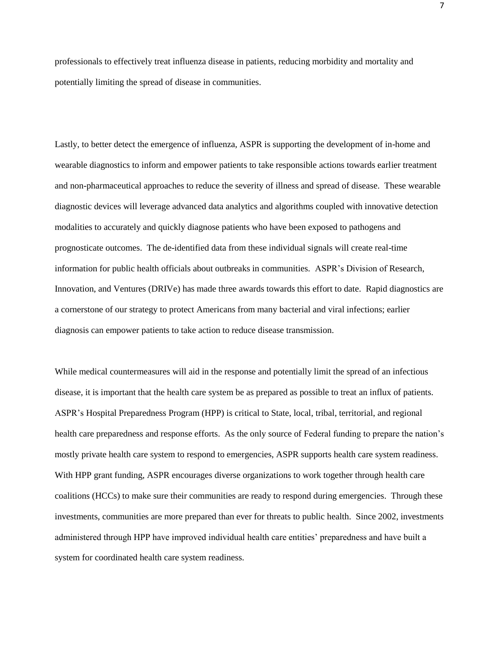professionals to effectively treat influenza disease in patients, reducing morbidity and mortality and potentially limiting the spread of disease in communities.

Lastly, to better detect the emergence of influenza, ASPR is supporting the development of in-home and wearable diagnostics to inform and empower patients to take responsible actions towards earlier treatment and non-pharmaceutical approaches to reduce the severity of illness and spread of disease. These wearable diagnostic devices will leverage advanced data analytics and algorithms coupled with innovative detection modalities to accurately and quickly diagnose patients who have been exposed to pathogens and prognosticate outcomes. The de-identified data from these individual signals will create real-time information for public health officials about outbreaks in communities. ASPR's Division of Research, Innovation, and Ventures (DRIVe) has made three awards towards this effort to date. Rapid diagnostics are a cornerstone of our strategy to protect Americans from many bacterial and viral infections; earlier diagnosis can empower patients to take action to reduce disease transmission.

While medical countermeasures will aid in the response and potentially limit the spread of an infectious disease, it is important that the health care system be as prepared as possible to treat an influx of patients. ASPR's Hospital Preparedness Program (HPP) is critical to State, local, tribal, territorial, and regional health care preparedness and response efforts. As the only source of Federal funding to prepare the nation's mostly private health care system to respond to emergencies, ASPR supports health care system readiness. With HPP grant funding, ASPR encourages diverse organizations to work together through health care coalitions (HCCs) to make sure their communities are ready to respond during emergencies. Through these investments, communities are more prepared than ever for threats to public health. Since 2002, investments administered through HPP have improved individual health care entities' preparedness and have built a system for coordinated health care system readiness.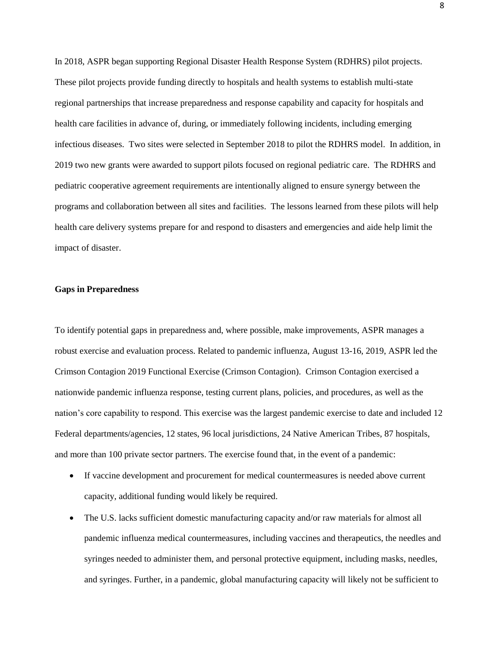In 2018, ASPR began supporting Regional Disaster Health Response System (RDHRS) pilot projects. These pilot projects provide funding directly to hospitals and health systems to establish multi-state regional partnerships that increase preparedness and response capability and capacity for hospitals and health care facilities in advance of, during, or immediately following incidents, including emerging infectious diseases. Two sites were selected in September 2018 to pilot the RDHRS model. In addition, in 2019 two new grants were awarded to support pilots focused on regional pediatric care. The RDHRS and pediatric cooperative agreement requirements are intentionally aligned to ensure synergy between the programs and collaboration between all sites and facilities. The lessons learned from these pilots will help health care delivery systems prepare for and respond to disasters and emergencies and aide help limit the impact of disaster.

## **Gaps in Preparedness**

To identify potential gaps in preparedness and, where possible, make improvements, ASPR manages a robust exercise and evaluation process. Related to pandemic influenza, August 13-16, 2019, ASPR led the Crimson Contagion 2019 Functional Exercise (Crimson Contagion). Crimson Contagion exercised a nationwide pandemic influenza response, testing current plans, policies, and procedures, as well as the nation's core capability to respond. This exercise was the largest pandemic exercise to date and included 12 Federal departments/agencies, 12 states, 96 local jurisdictions, 24 Native American Tribes, 87 hospitals, and more than 100 private sector partners. The exercise found that, in the event of a pandemic:

- If vaccine development and procurement for medical countermeasures is needed above current capacity, additional funding would likely be required.
- The U.S. lacks sufficient domestic manufacturing capacity and/or raw materials for almost all pandemic influenza medical countermeasures, including vaccines and therapeutics, the needles and syringes needed to administer them, and personal protective equipment, including masks, needles, and syringes. Further, in a pandemic, global manufacturing capacity will likely not be sufficient to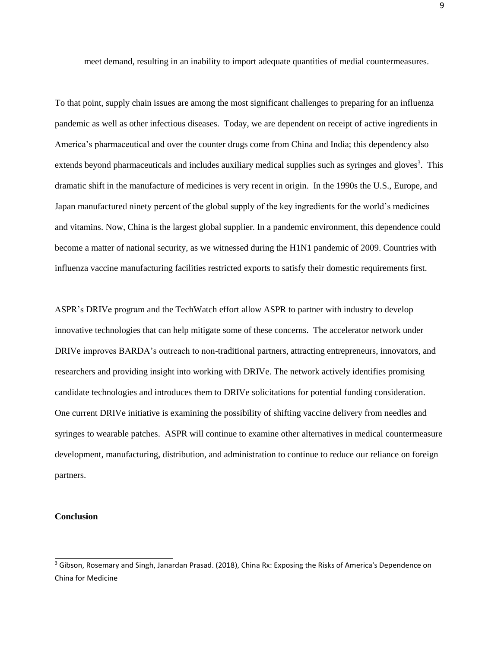meet demand, resulting in an inability to import adequate quantities of medial countermeasures.

To that point, supply chain issues are among the most significant challenges to preparing for an influenza pandemic as well as other infectious diseases. Today, we are dependent on receipt of active ingredients in America's pharmaceutical and over the counter drugs come from China and India; this dependency also extends beyond pharmaceuticals and includes auxiliary medical supplies such as syringes and gloves<sup>3</sup>. This dramatic shift in the manufacture of medicines is very recent in origin. In the 1990s the U.S., Europe, and Japan manufactured ninety percent of the global supply of the key ingredients for the world's medicines and vitamins. Now, China is the largest global supplier. In a pandemic environment, this dependence could become a matter of national security, as we witnessed during the H1N1 pandemic of 2009. Countries with influenza vaccine manufacturing facilities restricted exports to satisfy their domestic requirements first.

ASPR's DRIVe program and the TechWatch effort allow ASPR to partner with industry to develop innovative technologies that can help mitigate some of these concerns. The accelerator network under DRIVe improves BARDA's outreach to non-traditional partners, attracting entrepreneurs, innovators, and researchers and providing insight into working with DRIVe. The network actively identifies promising candidate technologies and introduces them to DRIVe solicitations for potential funding consideration. One current DRIVe initiative is examining the possibility of shifting vaccine delivery from needles and syringes to wearable patches. ASPR will continue to examine other alternatives in medical countermeasure development, manufacturing, distribution, and administration to continue to reduce our reliance on foreign partners.

# **Conclusion**

<sup>3</sup> Gibson, Rosemary and Singh, Janardan Prasad. (2018), China Rx: Exposing the Risks of America's Dependence on China for Medicine